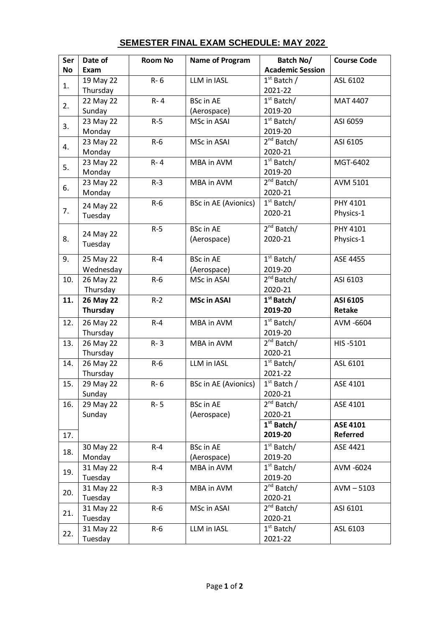| <b>Academic Session</b><br><b>No</b><br>Exam<br>$1st$ Batch /<br>19 May 22<br>LLM in IASL<br>$R - 6$<br>ASL 6102<br>1.<br>Thursday<br>2021-22<br>$1st$ Batch/<br>22 May 22<br>R-4<br><b>BSc in AE</b><br>MAT 4407<br>2.<br>Sunday<br>2019-20<br>(Aerospace)<br>$1st$ Batch/<br>23 May 22<br>$R-5$<br>MSc in ASAI<br>ASI 6059<br>3.<br>Monday<br>2019-20<br>$2^{nd}$ Batch/<br>$R-6$<br>MSc in ASAI<br>23 May 22<br>ASI 6105<br>4.<br>Monday<br>2020-21<br>$1st$ Batch/<br>23 May 22<br>$R - 4$<br>MBA in AVM<br>MGT-6402<br>5.<br>2019-20<br>Monday<br>$2^{nd}$ Batch/<br>23 May 22<br>$R-3$<br>MBA in AVM<br><b>AVM 5101</b><br>6.<br>Monday<br>2020-21<br>$1st$ Batch/<br><b>BSc in AE (Avionics)</b><br>PHY 4101<br>$R-6$<br>24 May 22<br>7.<br>2020-21<br>Physics-1<br>Tuesday<br>$2^{nd}$ Batch/<br>$R-5$<br><b>BSc in AE</b><br>PHY 4101<br>24 May 22<br>8.<br>(Aerospace)<br>Physics-1<br>2020-21<br>Tuesday<br>$1st$ Batch/<br>25 May 22<br><b>BSc in AE</b><br>9.<br>$R - 4$<br>ASE 4455<br>Wednesday<br>2019-20<br>(Aerospace)<br>$2nd$ Batch/<br>10.<br>26 May 22<br>$R-6$<br>MSc in ASAI<br>ASI 6103<br>Thursday<br>2020-21<br>$1st$ Batch/<br>$R-2$<br><b>MSc in ASAI</b><br>11.<br>26 May 22<br>ASI 6105<br>Thursday<br>2019-20<br>Retake<br>$1st$ Batch/<br>26 May 22<br>12.<br>$R - 4$<br>MBA in AVM<br>AVM -6604<br>Thursday<br>2019-20<br>$2^{nd}$ Batch/<br>13.<br>26 May 22<br>$R - 3$<br>MBA in AVM<br>HIS-5101<br>Thursday<br>2020-21<br>$1st$ Batch/<br>26 May 22<br>$R-6$<br>LLM in IASL<br>ASL 6101<br>14.<br>Thursday<br>2021-22<br>$1st$ Batch /<br>15.<br>29 May 22<br><b>BSc in AE (Avionics)</b><br>R-6<br>ASE 4101<br>Sunday<br>2020-21<br>$2^{nd}$ Batch/<br>29 May 22<br>16.<br>$R - 5$<br><b>BSc in AE</b><br>ASE 4101<br>(Aerospace)<br>Sunday<br>2020-21<br>$1st$ Batch/<br><b>ASE 4101</b><br><b>Referred</b><br>2019-20<br>17.<br>$1st$ Batch/<br>30 May 22<br>$R - 4$<br><b>BSc in AE</b><br>ASE 4421<br>18.<br>Monday<br>(Aerospace)<br>2019-20<br>$1st$ Batch/<br>31 May 22<br>$R - 4$<br>MBA in AVM<br>AVM -6024<br>19.<br>Tuesday<br>2019-20<br>$2^{nd}$ Batch/<br>31 May 22<br>$R-3$<br>MBA in AVM<br>$AVM - 5103$ | Ser | Date of | <b>Room No</b> | <b>Name of Program</b> | Batch No/ | <b>Course Code</b> |
|----------------------------------------------------------------------------------------------------------------------------------------------------------------------------------------------------------------------------------------------------------------------------------------------------------------------------------------------------------------------------------------------------------------------------------------------------------------------------------------------------------------------------------------------------------------------------------------------------------------------------------------------------------------------------------------------------------------------------------------------------------------------------------------------------------------------------------------------------------------------------------------------------------------------------------------------------------------------------------------------------------------------------------------------------------------------------------------------------------------------------------------------------------------------------------------------------------------------------------------------------------------------------------------------------------------------------------------------------------------------------------------------------------------------------------------------------------------------------------------------------------------------------------------------------------------------------------------------------------------------------------------------------------------------------------------------------------------------------------------------------------------------------------------------------------------------------------------------------------------------------------------------------------------------------------------------------------------------------------------------------------------------------------------------------------------------------------------------------------------------------------------------------------------|-----|---------|----------------|------------------------|-----------|--------------------|
|                                                                                                                                                                                                                                                                                                                                                                                                                                                                                                                                                                                                                                                                                                                                                                                                                                                                                                                                                                                                                                                                                                                                                                                                                                                                                                                                                                                                                                                                                                                                                                                                                                                                                                                                                                                                                                                                                                                                                                                                                                                                                                                                                                |     |         |                |                        |           |                    |
|                                                                                                                                                                                                                                                                                                                                                                                                                                                                                                                                                                                                                                                                                                                                                                                                                                                                                                                                                                                                                                                                                                                                                                                                                                                                                                                                                                                                                                                                                                                                                                                                                                                                                                                                                                                                                                                                                                                                                                                                                                                                                                                                                                |     |         |                |                        |           |                    |
|                                                                                                                                                                                                                                                                                                                                                                                                                                                                                                                                                                                                                                                                                                                                                                                                                                                                                                                                                                                                                                                                                                                                                                                                                                                                                                                                                                                                                                                                                                                                                                                                                                                                                                                                                                                                                                                                                                                                                                                                                                                                                                                                                                |     |         |                |                        |           |                    |
|                                                                                                                                                                                                                                                                                                                                                                                                                                                                                                                                                                                                                                                                                                                                                                                                                                                                                                                                                                                                                                                                                                                                                                                                                                                                                                                                                                                                                                                                                                                                                                                                                                                                                                                                                                                                                                                                                                                                                                                                                                                                                                                                                                |     |         |                |                        |           |                    |
|                                                                                                                                                                                                                                                                                                                                                                                                                                                                                                                                                                                                                                                                                                                                                                                                                                                                                                                                                                                                                                                                                                                                                                                                                                                                                                                                                                                                                                                                                                                                                                                                                                                                                                                                                                                                                                                                                                                                                                                                                                                                                                                                                                |     |         |                |                        |           |                    |
|                                                                                                                                                                                                                                                                                                                                                                                                                                                                                                                                                                                                                                                                                                                                                                                                                                                                                                                                                                                                                                                                                                                                                                                                                                                                                                                                                                                                                                                                                                                                                                                                                                                                                                                                                                                                                                                                                                                                                                                                                                                                                                                                                                |     |         |                |                        |           |                    |
|                                                                                                                                                                                                                                                                                                                                                                                                                                                                                                                                                                                                                                                                                                                                                                                                                                                                                                                                                                                                                                                                                                                                                                                                                                                                                                                                                                                                                                                                                                                                                                                                                                                                                                                                                                                                                                                                                                                                                                                                                                                                                                                                                                |     |         |                |                        |           |                    |
|                                                                                                                                                                                                                                                                                                                                                                                                                                                                                                                                                                                                                                                                                                                                                                                                                                                                                                                                                                                                                                                                                                                                                                                                                                                                                                                                                                                                                                                                                                                                                                                                                                                                                                                                                                                                                                                                                                                                                                                                                                                                                                                                                                |     |         |                |                        |           |                    |
|                                                                                                                                                                                                                                                                                                                                                                                                                                                                                                                                                                                                                                                                                                                                                                                                                                                                                                                                                                                                                                                                                                                                                                                                                                                                                                                                                                                                                                                                                                                                                                                                                                                                                                                                                                                                                                                                                                                                                                                                                                                                                                                                                                |     |         |                |                        |           |                    |
|                                                                                                                                                                                                                                                                                                                                                                                                                                                                                                                                                                                                                                                                                                                                                                                                                                                                                                                                                                                                                                                                                                                                                                                                                                                                                                                                                                                                                                                                                                                                                                                                                                                                                                                                                                                                                                                                                                                                                                                                                                                                                                                                                                |     |         |                |                        |           |                    |
|                                                                                                                                                                                                                                                                                                                                                                                                                                                                                                                                                                                                                                                                                                                                                                                                                                                                                                                                                                                                                                                                                                                                                                                                                                                                                                                                                                                                                                                                                                                                                                                                                                                                                                                                                                                                                                                                                                                                                                                                                                                                                                                                                                |     |         |                |                        |           |                    |
|                                                                                                                                                                                                                                                                                                                                                                                                                                                                                                                                                                                                                                                                                                                                                                                                                                                                                                                                                                                                                                                                                                                                                                                                                                                                                                                                                                                                                                                                                                                                                                                                                                                                                                                                                                                                                                                                                                                                                                                                                                                                                                                                                                |     |         |                |                        |           |                    |
|                                                                                                                                                                                                                                                                                                                                                                                                                                                                                                                                                                                                                                                                                                                                                                                                                                                                                                                                                                                                                                                                                                                                                                                                                                                                                                                                                                                                                                                                                                                                                                                                                                                                                                                                                                                                                                                                                                                                                                                                                                                                                                                                                                |     |         |                |                        |           |                    |
|                                                                                                                                                                                                                                                                                                                                                                                                                                                                                                                                                                                                                                                                                                                                                                                                                                                                                                                                                                                                                                                                                                                                                                                                                                                                                                                                                                                                                                                                                                                                                                                                                                                                                                                                                                                                                                                                                                                                                                                                                                                                                                                                                                |     |         |                |                        |           |                    |
|                                                                                                                                                                                                                                                                                                                                                                                                                                                                                                                                                                                                                                                                                                                                                                                                                                                                                                                                                                                                                                                                                                                                                                                                                                                                                                                                                                                                                                                                                                                                                                                                                                                                                                                                                                                                                                                                                                                                                                                                                                                                                                                                                                |     |         |                |                        |           |                    |
|                                                                                                                                                                                                                                                                                                                                                                                                                                                                                                                                                                                                                                                                                                                                                                                                                                                                                                                                                                                                                                                                                                                                                                                                                                                                                                                                                                                                                                                                                                                                                                                                                                                                                                                                                                                                                                                                                                                                                                                                                                                                                                                                                                |     |         |                |                        |           |                    |
|                                                                                                                                                                                                                                                                                                                                                                                                                                                                                                                                                                                                                                                                                                                                                                                                                                                                                                                                                                                                                                                                                                                                                                                                                                                                                                                                                                                                                                                                                                                                                                                                                                                                                                                                                                                                                                                                                                                                                                                                                                                                                                                                                                |     |         |                |                        |           |                    |
|                                                                                                                                                                                                                                                                                                                                                                                                                                                                                                                                                                                                                                                                                                                                                                                                                                                                                                                                                                                                                                                                                                                                                                                                                                                                                                                                                                                                                                                                                                                                                                                                                                                                                                                                                                                                                                                                                                                                                                                                                                                                                                                                                                |     |         |                |                        |           |                    |
|                                                                                                                                                                                                                                                                                                                                                                                                                                                                                                                                                                                                                                                                                                                                                                                                                                                                                                                                                                                                                                                                                                                                                                                                                                                                                                                                                                                                                                                                                                                                                                                                                                                                                                                                                                                                                                                                                                                                                                                                                                                                                                                                                                |     |         |                |                        |           |                    |
|                                                                                                                                                                                                                                                                                                                                                                                                                                                                                                                                                                                                                                                                                                                                                                                                                                                                                                                                                                                                                                                                                                                                                                                                                                                                                                                                                                                                                                                                                                                                                                                                                                                                                                                                                                                                                                                                                                                                                                                                                                                                                                                                                                |     |         |                |                        |           |                    |
|                                                                                                                                                                                                                                                                                                                                                                                                                                                                                                                                                                                                                                                                                                                                                                                                                                                                                                                                                                                                                                                                                                                                                                                                                                                                                                                                                                                                                                                                                                                                                                                                                                                                                                                                                                                                                                                                                                                                                                                                                                                                                                                                                                |     |         |                |                        |           |                    |
|                                                                                                                                                                                                                                                                                                                                                                                                                                                                                                                                                                                                                                                                                                                                                                                                                                                                                                                                                                                                                                                                                                                                                                                                                                                                                                                                                                                                                                                                                                                                                                                                                                                                                                                                                                                                                                                                                                                                                                                                                                                                                                                                                                |     |         |                |                        |           |                    |
|                                                                                                                                                                                                                                                                                                                                                                                                                                                                                                                                                                                                                                                                                                                                                                                                                                                                                                                                                                                                                                                                                                                                                                                                                                                                                                                                                                                                                                                                                                                                                                                                                                                                                                                                                                                                                                                                                                                                                                                                                                                                                                                                                                |     |         |                |                        |           |                    |
|                                                                                                                                                                                                                                                                                                                                                                                                                                                                                                                                                                                                                                                                                                                                                                                                                                                                                                                                                                                                                                                                                                                                                                                                                                                                                                                                                                                                                                                                                                                                                                                                                                                                                                                                                                                                                                                                                                                                                                                                                                                                                                                                                                |     |         |                |                        |           |                    |
|                                                                                                                                                                                                                                                                                                                                                                                                                                                                                                                                                                                                                                                                                                                                                                                                                                                                                                                                                                                                                                                                                                                                                                                                                                                                                                                                                                                                                                                                                                                                                                                                                                                                                                                                                                                                                                                                                                                                                                                                                                                                                                                                                                |     |         |                |                        |           |                    |
|                                                                                                                                                                                                                                                                                                                                                                                                                                                                                                                                                                                                                                                                                                                                                                                                                                                                                                                                                                                                                                                                                                                                                                                                                                                                                                                                                                                                                                                                                                                                                                                                                                                                                                                                                                                                                                                                                                                                                                                                                                                                                                                                                                |     |         |                |                        |           |                    |
|                                                                                                                                                                                                                                                                                                                                                                                                                                                                                                                                                                                                                                                                                                                                                                                                                                                                                                                                                                                                                                                                                                                                                                                                                                                                                                                                                                                                                                                                                                                                                                                                                                                                                                                                                                                                                                                                                                                                                                                                                                                                                                                                                                |     |         |                |                        |           |                    |
|                                                                                                                                                                                                                                                                                                                                                                                                                                                                                                                                                                                                                                                                                                                                                                                                                                                                                                                                                                                                                                                                                                                                                                                                                                                                                                                                                                                                                                                                                                                                                                                                                                                                                                                                                                                                                                                                                                                                                                                                                                                                                                                                                                |     |         |                |                        |           |                    |
|                                                                                                                                                                                                                                                                                                                                                                                                                                                                                                                                                                                                                                                                                                                                                                                                                                                                                                                                                                                                                                                                                                                                                                                                                                                                                                                                                                                                                                                                                                                                                                                                                                                                                                                                                                                                                                                                                                                                                                                                                                                                                                                                                                |     |         |                |                        |           |                    |
|                                                                                                                                                                                                                                                                                                                                                                                                                                                                                                                                                                                                                                                                                                                                                                                                                                                                                                                                                                                                                                                                                                                                                                                                                                                                                                                                                                                                                                                                                                                                                                                                                                                                                                                                                                                                                                                                                                                                                                                                                                                                                                                                                                |     |         |                |                        |           |                    |
|                                                                                                                                                                                                                                                                                                                                                                                                                                                                                                                                                                                                                                                                                                                                                                                                                                                                                                                                                                                                                                                                                                                                                                                                                                                                                                                                                                                                                                                                                                                                                                                                                                                                                                                                                                                                                                                                                                                                                                                                                                                                                                                                                                |     |         |                |                        |           |                    |
|                                                                                                                                                                                                                                                                                                                                                                                                                                                                                                                                                                                                                                                                                                                                                                                                                                                                                                                                                                                                                                                                                                                                                                                                                                                                                                                                                                                                                                                                                                                                                                                                                                                                                                                                                                                                                                                                                                                                                                                                                                                                                                                                                                |     |         |                |                        |           |                    |
|                                                                                                                                                                                                                                                                                                                                                                                                                                                                                                                                                                                                                                                                                                                                                                                                                                                                                                                                                                                                                                                                                                                                                                                                                                                                                                                                                                                                                                                                                                                                                                                                                                                                                                                                                                                                                                                                                                                                                                                                                                                                                                                                                                |     |         |                |                        |           |                    |
|                                                                                                                                                                                                                                                                                                                                                                                                                                                                                                                                                                                                                                                                                                                                                                                                                                                                                                                                                                                                                                                                                                                                                                                                                                                                                                                                                                                                                                                                                                                                                                                                                                                                                                                                                                                                                                                                                                                                                                                                                                                                                                                                                                |     |         |                |                        |           |                    |
|                                                                                                                                                                                                                                                                                                                                                                                                                                                                                                                                                                                                                                                                                                                                                                                                                                                                                                                                                                                                                                                                                                                                                                                                                                                                                                                                                                                                                                                                                                                                                                                                                                                                                                                                                                                                                                                                                                                                                                                                                                                                                                                                                                |     |         |                |                        |           |                    |
|                                                                                                                                                                                                                                                                                                                                                                                                                                                                                                                                                                                                                                                                                                                                                                                                                                                                                                                                                                                                                                                                                                                                                                                                                                                                                                                                                                                                                                                                                                                                                                                                                                                                                                                                                                                                                                                                                                                                                                                                                                                                                                                                                                |     |         |                |                        |           |                    |
|                                                                                                                                                                                                                                                                                                                                                                                                                                                                                                                                                                                                                                                                                                                                                                                                                                                                                                                                                                                                                                                                                                                                                                                                                                                                                                                                                                                                                                                                                                                                                                                                                                                                                                                                                                                                                                                                                                                                                                                                                                                                                                                                                                |     |         |                |                        |           |                    |
|                                                                                                                                                                                                                                                                                                                                                                                                                                                                                                                                                                                                                                                                                                                                                                                                                                                                                                                                                                                                                                                                                                                                                                                                                                                                                                                                                                                                                                                                                                                                                                                                                                                                                                                                                                                                                                                                                                                                                                                                                                                                                                                                                                |     |         |                |                        |           |                    |
|                                                                                                                                                                                                                                                                                                                                                                                                                                                                                                                                                                                                                                                                                                                                                                                                                                                                                                                                                                                                                                                                                                                                                                                                                                                                                                                                                                                                                                                                                                                                                                                                                                                                                                                                                                                                                                                                                                                                                                                                                                                                                                                                                                |     |         |                |                        |           |                    |
|                                                                                                                                                                                                                                                                                                                                                                                                                                                                                                                                                                                                                                                                                                                                                                                                                                                                                                                                                                                                                                                                                                                                                                                                                                                                                                                                                                                                                                                                                                                                                                                                                                                                                                                                                                                                                                                                                                                                                                                                                                                                                                                                                                |     |         |                |                        |           |                    |
|                                                                                                                                                                                                                                                                                                                                                                                                                                                                                                                                                                                                                                                                                                                                                                                                                                                                                                                                                                                                                                                                                                                                                                                                                                                                                                                                                                                                                                                                                                                                                                                                                                                                                                                                                                                                                                                                                                                                                                                                                                                                                                                                                                |     |         |                |                        |           |                    |
|                                                                                                                                                                                                                                                                                                                                                                                                                                                                                                                                                                                                                                                                                                                                                                                                                                                                                                                                                                                                                                                                                                                                                                                                                                                                                                                                                                                                                                                                                                                                                                                                                                                                                                                                                                                                                                                                                                                                                                                                                                                                                                                                                                |     |         |                |                        |           |                    |
| Tuesday<br>2020-21                                                                                                                                                                                                                                                                                                                                                                                                                                                                                                                                                                                                                                                                                                                                                                                                                                                                                                                                                                                                                                                                                                                                                                                                                                                                                                                                                                                                                                                                                                                                                                                                                                                                                                                                                                                                                                                                                                                                                                                                                                                                                                                                             | 20. |         |                |                        |           |                    |
| $2nd$ Batch/<br>31 May 22<br>$R-6$<br>MSc in ASAI<br>ASI 6101                                                                                                                                                                                                                                                                                                                                                                                                                                                                                                                                                                                                                                                                                                                                                                                                                                                                                                                                                                                                                                                                                                                                                                                                                                                                                                                                                                                                                                                                                                                                                                                                                                                                                                                                                                                                                                                                                                                                                                                                                                                                                                  |     |         |                |                        |           |                    |
| 21.<br>Tuesday<br>2020-21                                                                                                                                                                                                                                                                                                                                                                                                                                                                                                                                                                                                                                                                                                                                                                                                                                                                                                                                                                                                                                                                                                                                                                                                                                                                                                                                                                                                                                                                                                                                                                                                                                                                                                                                                                                                                                                                                                                                                                                                                                                                                                                                      |     |         |                |                        |           |                    |
| $1st$ Batch/<br>31 May 22<br>LLM in IASL<br>$R-6$<br>ASL 6103                                                                                                                                                                                                                                                                                                                                                                                                                                                                                                                                                                                                                                                                                                                                                                                                                                                                                                                                                                                                                                                                                                                                                                                                                                                                                                                                                                                                                                                                                                                                                                                                                                                                                                                                                                                                                                                                                                                                                                                                                                                                                                  |     |         |                |                        |           |                    |
| 22.<br>Tuesday<br>2021-22                                                                                                                                                                                                                                                                                                                                                                                                                                                                                                                                                                                                                                                                                                                                                                                                                                                                                                                                                                                                                                                                                                                                                                                                                                                                                                                                                                                                                                                                                                                                                                                                                                                                                                                                                                                                                                                                                                                                                                                                                                                                                                                                      |     |         |                |                        |           |                    |

## **SEMESTER FINAL EXAM SCHEDULE: MAY 2022**